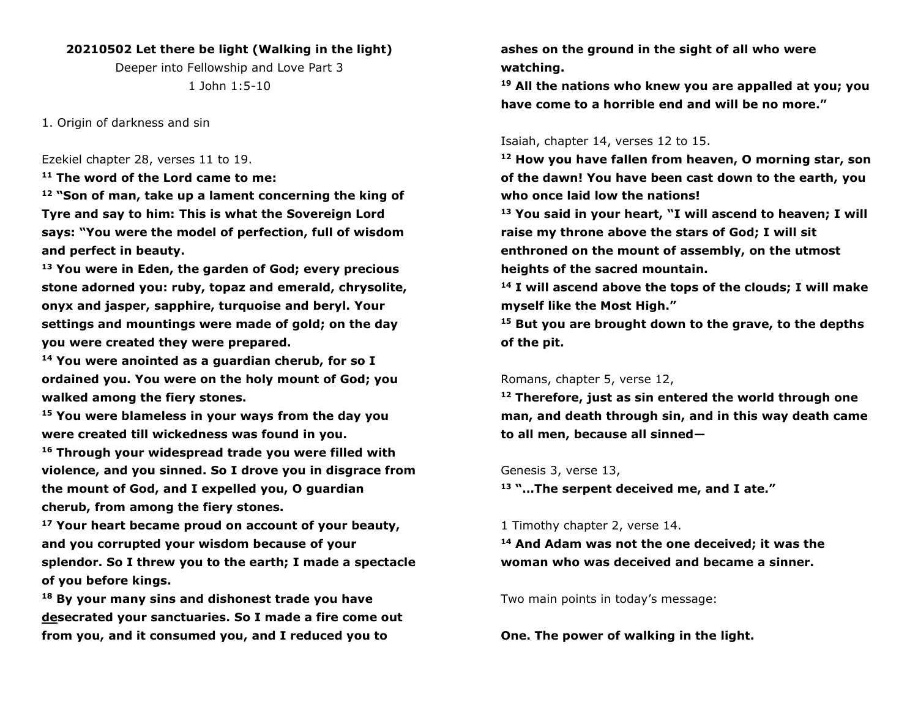# **20210502 Let there be light (Walking in the light)**

Deeper into Fellowship and Love Part 3 1 John 1:5-10

1. Origin of darkness and sin

Ezekiel chapter 28, verses 11 to 19.

**<sup>11</sup> The word of the Lord came to me:**

**<sup>12</sup> "Son of man, take up a lament concerning the king of Tyre and say to him: This is what the Sovereign Lord says: "You were the model of perfection, full of wisdom and perfect in beauty.**

**<sup>13</sup> You were in Eden, the garden of God; every precious stone adorned you: ruby, topaz and emerald, chrysolite, onyx and jasper, sapphire, turquoise and beryl. Your settings and mountings were made of gold; on the day you were created they were prepared.**

**<sup>14</sup> You were anointed as a guardian cherub, for so I ordained you. You were on the holy mount of God; you walked among the fiery stones.**

**<sup>15</sup> You were blameless in your ways from the day you were created till wickedness was found in you. <sup>16</sup> Through your widespread trade you were filled with violence, and you sinned. So I drove you in disgrace from the mount of God, and I expelled you, O guardian cherub, from among the fiery stones.**

**<sup>17</sup> Your heart became proud on account of your beauty, and you corrupted your wisdom because of your splendor. So I threw you to the earth; I made a spectacle of you before kings.**

**<sup>18</sup> By your many sins and dishonest trade you have desecrated your sanctuaries. So I made a fire come out from you, and it consumed you, and I reduced you to** 

**ashes on the ground in the sight of all who were watching.**

**<sup>19</sup> All the nations who knew you are appalled at you; you have come to a horrible end and will be no more."**

#### Isaiah, chapter 14, verses 12 to 15.

**<sup>12</sup> How you have fallen from heaven, O morning star, son of the dawn! You have been cast down to the earth, you who once laid low the nations!**

**<sup>13</sup> You said in your heart, "I will ascend to heaven; I will raise my throne above the stars of God; I will sit enthroned on the mount of assembly, on the utmost heights of the sacred mountain.**

**<sup>14</sup> I will ascend above the tops of the clouds; I will make myself like the Most High."**

**<sup>15</sup> But you are brought down to the grave, to the depths of the pit.**

#### Romans, chapter 5, verse 12,

**<sup>12</sup> Therefore, just as sin entered the world through one man, and death through sin, and in this way death came to all men, because all sinned—**

#### Genesis 3, verse 13,

**<sup>13</sup> "…The serpent deceived me, and I ate."**

# 1 Timothy chapter 2, verse 14.

**<sup>14</sup> And Adam was not the one deceived; it was the woman who was deceived and became a sinner.**

Two main points in today's message:

**One. The power of walking in the light.**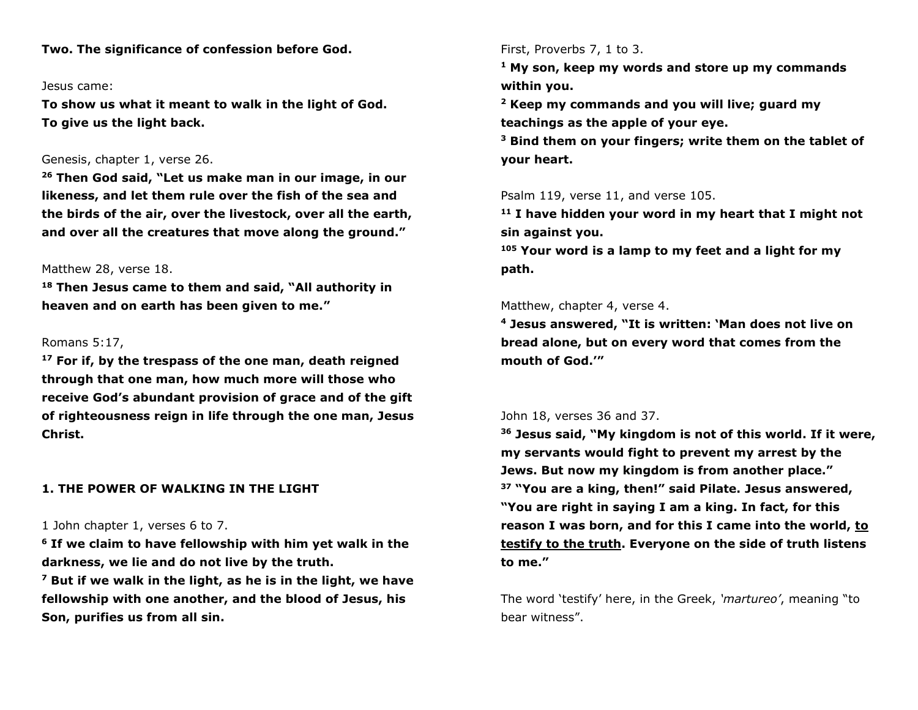**Two. The significance of confession before God.** 

#### Jesus came:

**To show us what it meant to walk in the light of God. To give us the light back.**

### Genesis, chapter 1, verse 26.

**<sup>26</sup> Then God said, "Let us make man in our image, in our likeness, and let them rule over the fish of the sea and the birds of the air, over the livestock, over all the earth, and over all the creatures that move along the ground."**

### Matthew 28, verse 18.

**<sup>18</sup> Then Jesus came to them and said, "All authority in heaven and on earth has been given to me."**

# Romans 5:17,

**<sup>17</sup> For if, by the trespass of the one man, death reigned through that one man, how much more will those who receive God's abundant provision of grace and of the gift of righteousness reign in life through the one man, Jesus Christ.**

# **1. THE POWER OF WALKING IN THE LIGHT**

## 1 John chapter 1, verses 6 to 7.

**<sup>6</sup> If we claim to have fellowship with him yet walk in the darkness, we lie and do not live by the truth.**

**<sup>7</sup> But if we walk in the light, as he is in the light, we have fellowship with one another, and the blood of Jesus, his Son, purifies us from all sin.**

#### First, Proverbs 7, 1 to 3.

**<sup>1</sup> My son, keep my words and store up my commands within you.**

**<sup>2</sup> Keep my commands and you will live; guard my teachings as the apple of your eye.**

**<sup>3</sup> Bind them on your fingers; write them on the tablet of your heart.**

Psalm 119, verse 11, and verse 105.

**<sup>11</sup> I have hidden your word in my heart that I might not sin against you.**

**<sup>105</sup> Your word is a lamp to my feet and a light for my path.**

### Matthew, chapter 4, verse 4.

**<sup>4</sup> Jesus answered, "It is written: 'Man does not live on bread alone, but on every word that comes from the mouth of God.'"**

## John 18, verses 36 and 37.

**<sup>36</sup> Jesus said, "My kingdom is not of this world. If it were, my servants would fight to prevent my arrest by the Jews. But now my kingdom is from another place." <sup>37</sup> "You are a king, then!" said Pilate. Jesus answered, "You are right in saying I am a king. In fact, for this reason I was born, and for this I came into the world, to testify to the truth. Everyone on the side of truth listens to me."**

The word 'testify' here, in the Greek, *'martureo'*, meaning "to bear witness".